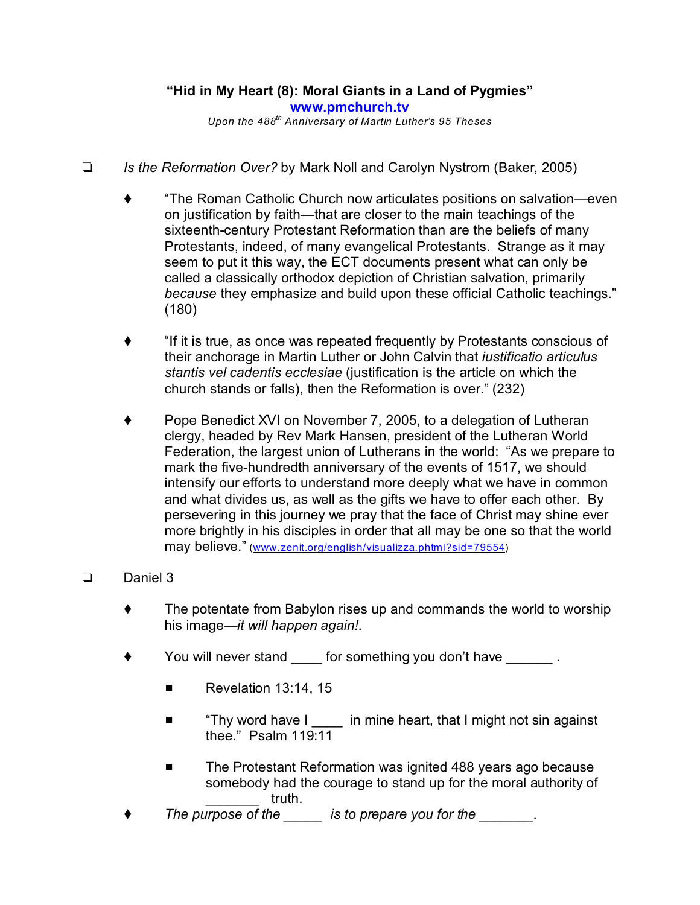## **"Hid in My Heart (8): Moral Giants in a Land of Pygmies" [www.pmchurch.tv](http://www.pmchurch.tv)**

*Upon the 488th Anniversary of Martin Luther's 95 Theses*

- *Is the Reformation Over?* by Mark Noll and Carolyn Nystrom (Baker, 2005)
	- "The Roman Catholic Church now articulates positions on salvation—even on justification by faith—that are closer to the main teachings of the sixteenth-century Protestant Reformation than are the beliefs of many Protestants, indeed, of many evangelical Protestants. Strange as it may seem to put it this way, the ECT documents present what can only be called a classically orthodox depiction of Christian salvation, primarily *because* they emphasize and build upon these official Catholic teachings." (180)
	- "If it is true, as once was repeated frequently by Protestants conscious of their anchorage in Martin Luther or John Calvin that *iustificatio articulus stantis vel cadentis ecclesiae* (justification is the article on which the church stands or falls), then the Reformation is over." (232)
	- ◆ Pope Benedict XVI on November 7, 2005, to a delegation of Lutheran clergy, headed by Rev Mark Hansen, president of the Lutheran World Federation, the largest union of Lutherans in the world: "As we prepare to mark the five-hundredth anniversary of the events of 1517, we should intensify our efforts to understand more deeply what we have in common and what divides us, as well as the gifts we have to offer each other. By persevering in this journey we pray that the face of Christ may shine ever more brightly in his disciples in order that all may be one so that the world may believe." [\(www.zenit.org/english/visualizza.phtml?sid=79554](http://www.zenit.org/english/visualizza.phtml?sid=79554)))

## Daniel 3

- The potentate from Babylon rises up and commands the world to worship his image—*it will happen again!*.
- You will never stand for something you don't have  $\blacksquare$ .
	- $\blacksquare$  Revelation 13:14, 15
	- "Thy word have I \_\_\_\_ in mine heart, that I might not sin against thee." Psalm 119:11
	- The Protestant Reformation was ignited 488 years ago because somebody had the courage to stand up for the moral authority of truth.
- *The purpose of the \_\_\_\_\_ is to prepare you for the \_\_\_\_\_\_\_.*